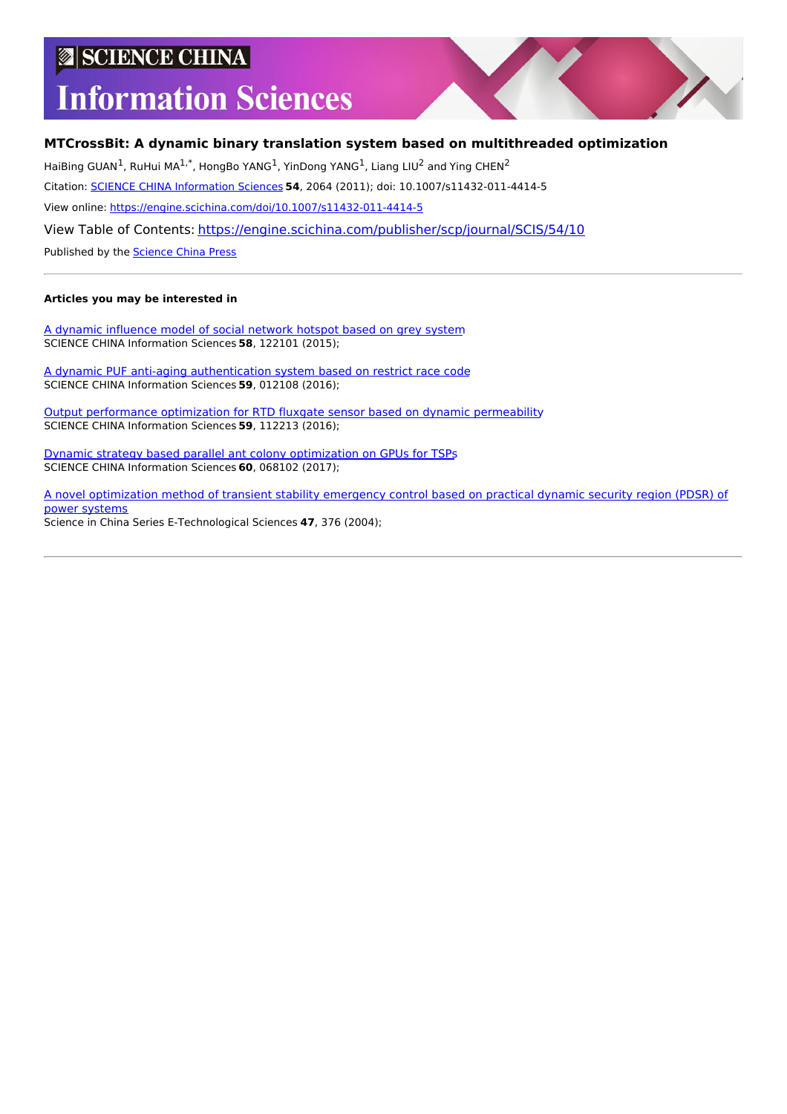# **SCIENCE CHINA**

# **Information Sciences**

# **MTCrossBit: A dynamic binary translation system based on multithreaded optimization**

HaiBing GUAN<sup>1</sup>, RuHui MA<sup>1,\*</sup>, HongBo YANG<sup>1</sup>, YinDong YANG<sup>1</sup>, Liang LIU<sup>2</sup> and Ying CHEN<sup>2</sup>

Citation: SCIENCE CHINA [Information](https://engine.scichina.com/publisher/scp/journal/SCIS) Sciences **54**, 2064 (2011); doi: 10.1007/s11432-011-4414-5

View online: <https://engine.scichina.com/doi/10.1007/s11432-011-4414-5>

View Table of Contents: <https://engine.scichina.com/publisher/scp/journal/SCIS/54/10>

Published by the [Science](https://engine.scichina.com/publisher/scp) China Press

### **Articles you may be interested in**

A dynamic [influence](https://engine.scichina.com/doi/10.1007/s11432-015-5439-y) model of social network hotspot based on grey system SCIENCE CHINA Information Sciences **58**, 122101 (2015);

A dynamic PUF anti-aging [authentication](https://engine.scichina.com/doi/10.1007/s11432-015-5287-9) system based on restrict race code SCIENCE CHINA Information Sciences **59**, 012108 (2016);

Output [performance](https://engine.scichina.com/doi/10.1007/s11432-015-5465-9) optimization for RTD fluxgate sensor based on dynamic permeability SCIENCE CHINA Information Sciences **59**, 112213 (2016);

Dynamic strategy based parallel ant colony [optimization](https://engine.scichina.com/doi/10.1007/s11432-015-0594-2) on GPUs for TSPs SCIENCE CHINA Information Sciences **60**, 068102 (2017);

A novel [optimization](https://engine.scichina.com/doi/10.1360/03ye0229) method of transient stability emergency control based on practical dynamic security region (PDSR) of power systems Science in China Series E-Technological Sciences **47**, 376 (2004);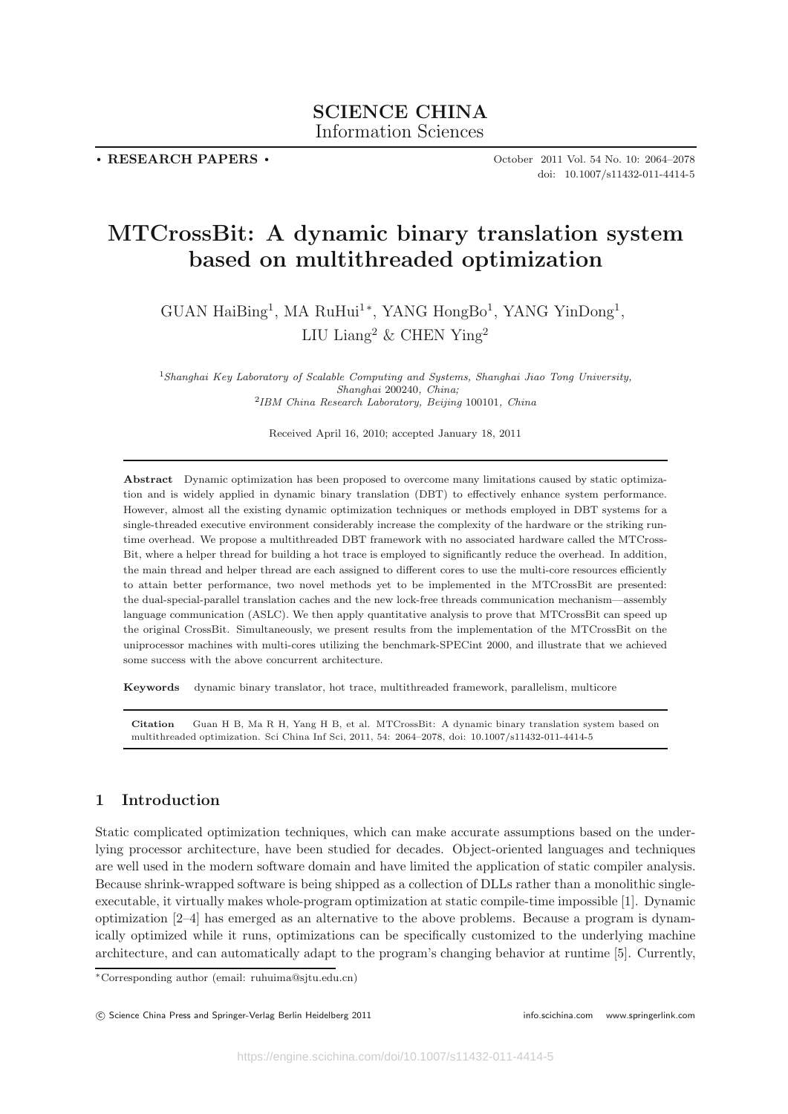# **SCIENCE CHINA** Information Sciences Information Sciences

**. RESEARCH PAPERS .**

October 2011 Vol. 54 No. 10: 2064–2078 doi: 10.1007/s11432-011-4414-5

# **MTCrossBit: A dynamic binary translation system based on multithreaded optimization**

GUAN  $\text{HaiBing}^1$ , MA  $\text{RuHui}^{1*}$ , YANG  $\text{HongBo}^1$ , YANG  $\text{YinDong}^1$ , LIU Liang<sup>2</sup> & CHEN Ying<sup>2</sup>

<sup>1</sup>*Shanghai Key Laboratory of Scalable Computing and Systems, Shanghai Jiao Tong University, Shanghai* 200240*, China;* <sup>2</sup>*IBM China Research Laboratory, Beijing* 100101*, China*

Received April 16, 2010; accepted January 18, 2011

**Abstract** Dynamic optimization has been proposed to overcome many limitations caused by static optimization and is widely applied in dynamic binary translation (DBT) to effectively enhance system performance. However, almost all the existing dynamic optimization techniques or methods employed in DBT systems for a single-threaded executive environment considerably increase the complexity of the hardware or the striking runtime overhead. We propose a multithreaded DBT framework with no associated hardware called the MTCross-Bit, where a helper thread for building a hot trace is employed to significantly reduce the overhead. In addition, the main thread and helper thread are each assigned to different cores to use the multi-core resources efficiently to attain better performance, two novel methods yet to be implemented in the MTCrossBit are presented: the dual-special-parallel translation caches and the new lock-free threads communication mechanism—assembly language communication (ASLC). We then apply quantitative analysis to prove that MTCrossBit can speed up the original CrossBit. Simultaneously, we present results from the implementation of the MTCrossBit on the uniprocessor machines with multi-cores utilizing the benchmark-SPECint 2000, and illustrate that we achieved some success with the above concurrent architecture.

**Keywords** dynamic binary translator, hot trace, multithreaded framework, parallelism, multicore

**Citation** Guan H B, Ma R H, Yang H B, et al. MTCrossBit: A dynamic binary translation system based on multithreaded optimization. Sci China Inf Sci, 2011, 54: 2064–2078, doi: 10.1007/s11432-011-4414-5

# **1 Introduction**

Static complicated optimization techniques, which can make accurate assumptions based on the underlying processor architecture, have been studied for decades. Object-oriented languages and techniques are well used in the modern software domain and have limited the application of static compiler analysis. Because shrink-wrapped software is being shipped as a collection of DLLs rather than a monolithic singleexecutable, it virtually makes whole-program optimization at static compile-time impossible [1]. Dynamic optimization [2–4] has emerged as an alternative to the above problems. Because a program is dynamically optimized while it runs, optimizations can be specifically customized to the underlying machine architecture, and can automatically adapt to the program's changing behavior at runtime [5]. Currently,

<sup>∗</sup>Corresponding author (email: ruhuima@sjtu.edu.cn)

C Science China Press and Springer-Verlag Berlin Heidelberg 2011 **info.scichina.com www.springerlink.com** www.springerlink.com www.springerlink.com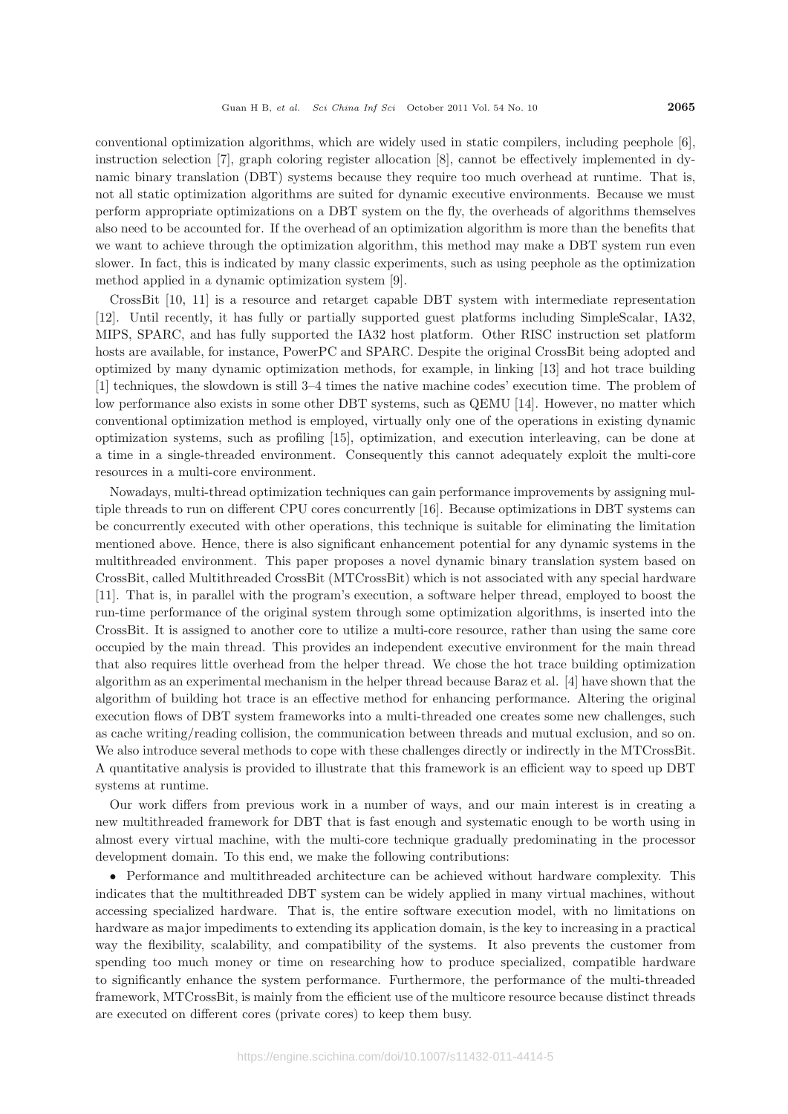conventional optimization algorithms, which are widely used in static compilers, including peephole [6], instruction selection [7], graph coloring register allocation [8], cannot be effectively implemented in dynamic binary translation (DBT) systems because they require too much overhead at runtime. That is, not all static optimization algorithms are suited for dynamic executive environments. Because we must perform appropriate optimizations on a DBT system on the fly, the overheads of algorithms themselves also need to be accounted for. If the overhead of an optimization algorithm is more than the benefits that we want to achieve through the optimization algorithm, this method may make a DBT system run even slower. In fact, this is indicated by many classic experiments, such as using peephole as the optimization method applied in a dynamic optimization system [9].

CrossBit [10, 11] is a resource and retarget capable DBT system with intermediate representation [12]. Until recently, it has fully or partially supported guest platforms including SimpleScalar, IA32, MIPS, SPARC, and has fully supported the IA32 host platform. Other RISC instruction set platform hosts are available, for instance, PowerPC and SPARC. Despite the original CrossBit being adopted and optimized by many dynamic optimization methods, for example, in linking [13] and hot trace building [1] techniques, the slowdown is still 3–4 times the native machine codes' execution time. The problem of low performance also exists in some other DBT systems, such as QEMU [14]. However, no matter which conventional optimization method is employed, virtually only one of the operations in existing dynamic optimization systems, such as profiling [15], optimization, and execution interleaving, can be done at a time in a single-threaded environment. Consequently this cannot adequately exploit the multi-core resources in a multi-core environment.

Nowadays, multi-thread optimization techniques can gain performance improvements by assigning multiple threads to run on different CPU cores concurrently [16]. Because optimizations in DBT systems can be concurrently executed with other operations, this technique is suitable for eliminating the limitation mentioned above. Hence, there is also significant enhancement potential for any dynamic systems in the multithreaded environment. This paper proposes a novel dynamic binary translation system based on CrossBit, called Multithreaded CrossBit (MTCrossBit) which is not associated with any special hardware [11]. That is, in parallel with the program's execution, a software helper thread, employed to boost the run-time performance of the original system through some optimization algorithms, is inserted into the CrossBit. It is assigned to another core to utilize a multi-core resource, rather than using the same core occupied by the main thread. This provides an independent executive environment for the main thread that also requires little overhead from the helper thread. We chose the hot trace building optimization algorithm as an experimental mechanism in the helper thread because Baraz et al. [4] have shown that the algorithm of building hot trace is an effective method for enhancing performance. Altering the original execution flows of DBT system frameworks into a multi-threaded one creates some new challenges, such as cache writing/reading collision, the communication between threads and mutual exclusion, and so on. We also introduce several methods to cope with these challenges directly or indirectly in the MTCrossBit. A quantitative analysis is provided to illustrate that this framework is an efficient way to speed up DBT systems at runtime.

Our work differs from previous work in a number of ways, and our main interest is in creating a new multithreaded framework for DBT that is fast enough and systematic enough to be worth using in almost every virtual machine, with the multi-core technique gradually predominating in the processor development domain. To this end, we make the following contributions:

• Performance and multithreaded architecture can be achieved without hardware complexity. This indicates that the multithreaded DBT system can be widely applied in many virtual machines, without accessing specialized hardware. That is, the entire software execution model, with no limitations on hardware as major impediments to extending its application domain, is the key to increasing in a practical way the flexibility, scalability, and compatibility of the systems. It also prevents the customer from spending too much money or time on researching how to produce specialized, compatible hardware to significantly enhance the system performance. Furthermore, the performance of the multi-threaded framework, MTCrossBit, is mainly from the efficient use of the multicore resource because distinct threads are executed on different cores (private cores) to keep them busy.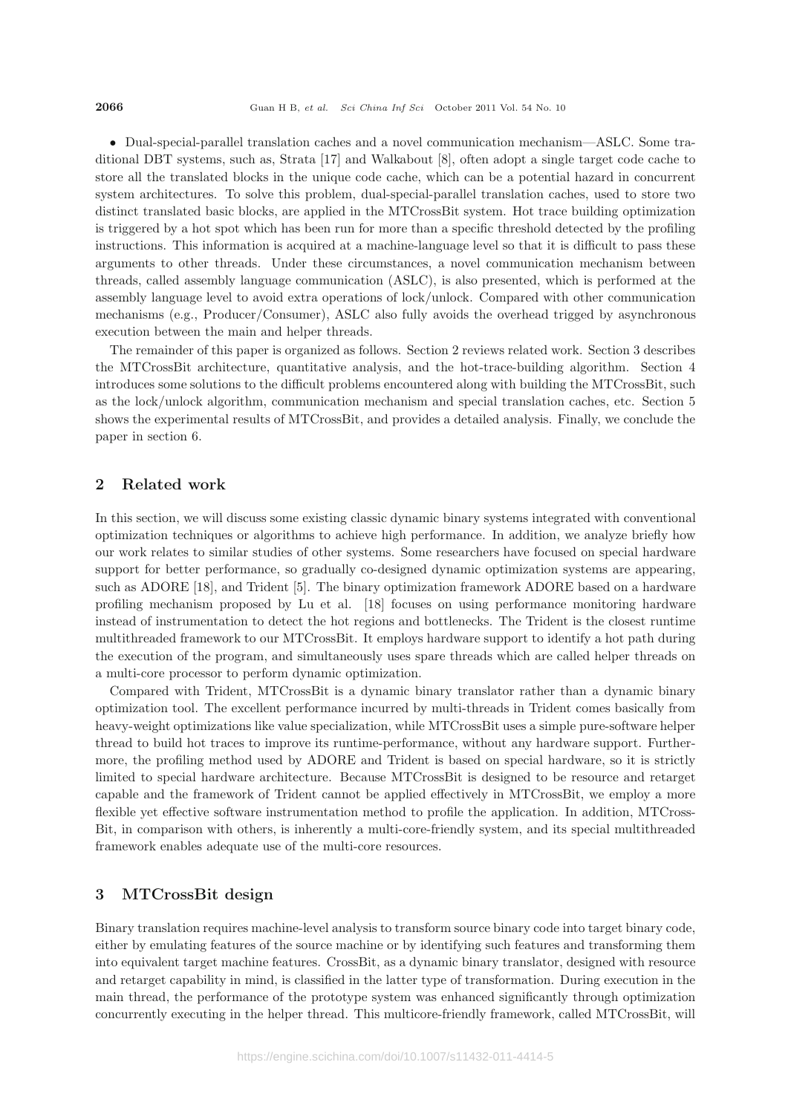*•* Dual-special-parallel translation caches and a novel communication mechanism—ASLC. Some traditional DBT systems, such as, Strata [17] and Walkabout [8], often adopt a single target code cache to store all the translated blocks in the unique code cache, which can be a potential hazard in concurrent system architectures. To solve this problem, dual-special-parallel translation caches, used to store two distinct translated basic blocks, are applied in the MTCrossBit system. Hot trace building optimization is triggered by a hot spot which has been run for more than a specific threshold detected by the profiling instructions. This information is acquired at a machine-language level so that it is difficult to pass these arguments to other threads. Under these circumstances, a novel communication mechanism between threads, called assembly language communication (ASLC), is also presented, which is performed at the assembly language level to avoid extra operations of lock/unlock. Compared with other communication mechanisms (e.g., Producer/Consumer), ASLC also fully avoids the overhead trigged by asynchronous execution between the main and helper threads.

The remainder of this paper is organized as follows. Section 2 reviews related work. Section 3 describes the MTCrossBit architecture, quantitative analysis, and the hot-trace-building algorithm. Section 4 introduces some solutions to the difficult problems encountered along with building the MTCrossBit, such as the lock/unlock algorithm, communication mechanism and special translation caches, etc. Section 5 shows the experimental results of MTCrossBit, and provides a detailed analysis. Finally, we conclude the paper in section 6.

# **2 Related work**

In this section, we will discuss some existing classic dynamic binary systems integrated with conventional optimization techniques or algorithms to achieve high performance. In addition, we analyze briefly how our work relates to similar studies of other systems. Some researchers have focused on special hardware support for better performance, so gradually co-designed dynamic optimization systems are appearing, such as ADORE [18], and Trident [5]. The binary optimization framework ADORE based on a hardware profiling mechanism proposed by Lu et al. [18] focuses on using performance monitoring hardware instead of instrumentation to detect the hot regions and bottlenecks. The Trident is the closest runtime multithreaded framework to our MTCrossBit. It employs hardware support to identify a hot path during the execution of the program, and simultaneously uses spare threads which are called helper threads on a multi-core processor to perform dynamic optimization.

Compared with Trident, MTCrossBit is a dynamic binary translator rather than a dynamic binary optimization tool. The excellent performance incurred by multi-threads in Trident comes basically from heavy-weight optimizations like value specialization, while MTCrossBit uses a simple pure-software helper thread to build hot traces to improve its runtime-performance, without any hardware support. Furthermore, the profiling method used by ADORE and Trident is based on special hardware, so it is strictly limited to special hardware architecture. Because MTCrossBit is designed to be resource and retarget capable and the framework of Trident cannot be applied effectively in MTCrossBit, we employ a more flexible yet effective software instrumentation method to profile the application. In addition, MTCross-Bit, in comparison with others, is inherently a multi-core-friendly system, and its special multithreaded framework enables adequate use of the multi-core resources.

# **3 MTCrossBit design**

Binary translation requires machine-level analysis to transform source binary code into target binary code, either by emulating features of the source machine or by identifying such features and transforming them into equivalent target machine features. CrossBit, as a dynamic binary translator, designed with resource and retarget capability in mind, is classified in the latter type of transformation. During execution in the main thread, the performance of the prototype system was enhanced significantly through optimization concurrently executing in the helper thread. This multicore-friendly framework, called MTCrossBit, will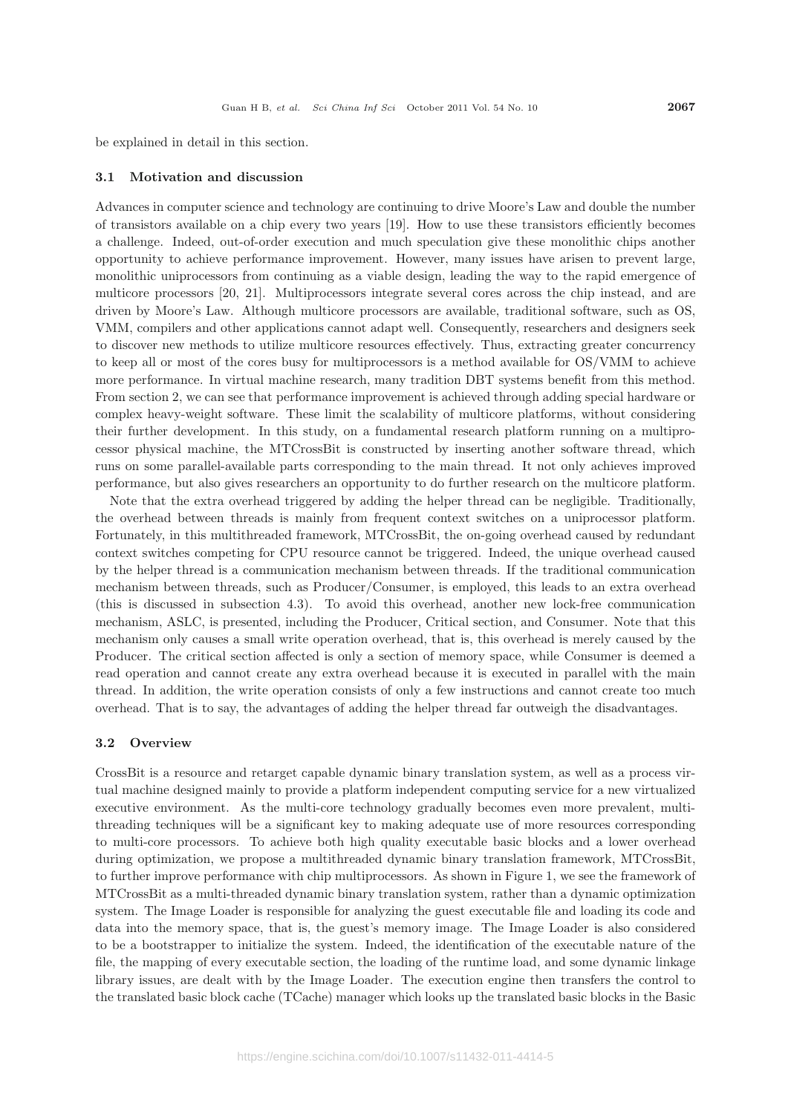be explained in detail in this section.

#### **3.1 Motivation and discussion**

Advances in computer science and technology are continuing to drive Moore's Law and double the number of transistors available on a chip every two years [19]. How to use these transistors efficiently becomes a challenge. Indeed, out-of-order execution and much speculation give these monolithic chips another opportunity to achieve performance improvement. However, many issues have arisen to prevent large, monolithic uniprocessors from continuing as a viable design, leading the way to the rapid emergence of multicore processors [20, 21]. Multiprocessors integrate several cores across the chip instead, and are driven by Moore's Law. Although multicore processors are available, traditional software, such as OS, VMM, compilers and other applications cannot adapt well. Consequently, researchers and designers seek to discover new methods to utilize multicore resources effectively. Thus, extracting greater concurrency to keep all or most of the cores busy for multiprocessors is a method available for OS/VMM to achieve more performance. In virtual machine research, many tradition DBT systems benefit from this method. From section 2, we can see that performance improvement is achieved through adding special hardware or complex heavy-weight software. These limit the scalability of multicore platforms, without considering their further development. In this study, on a fundamental research platform running on a multiprocessor physical machine, the MTCrossBit is constructed by inserting another software thread, which runs on some parallel-available parts corresponding to the main thread. It not only achieves improved performance, but also gives researchers an opportunity to do further research on the multicore platform.

Note that the extra overhead triggered by adding the helper thread can be negligible. Traditionally, the overhead between threads is mainly from frequent context switches on a uniprocessor platform. Fortunately, in this multithreaded framework, MTCrossBit, the on-going overhead caused by redundant context switches competing for CPU resource cannot be triggered. Indeed, the unique overhead caused by the helper thread is a communication mechanism between threads. If the traditional communication mechanism between threads, such as Producer/Consumer, is employed, this leads to an extra overhead (this is discussed in subsection 4.3). To avoid this overhead, another new lock-free communication mechanism, ASLC, is presented, including the Producer, Critical section, and Consumer. Note that this mechanism only causes a small write operation overhead, that is, this overhead is merely caused by the Producer. The critical section affected is only a section of memory space, while Consumer is deemed a read operation and cannot create any extra overhead because it is executed in parallel with the main thread. In addition, the write operation consists of only a few instructions and cannot create too much overhead. That is to say, the advantages of adding the helper thread far outweigh the disadvantages.

#### **3.2 Overview**

CrossBit is a resource and retarget capable dynamic binary translation system, as well as a process virtual machine designed mainly to provide a platform independent computing service for a new virtualized executive environment. As the multi-core technology gradually becomes even more prevalent, multithreading techniques will be a significant key to making adequate use of more resources corresponding to multi-core processors. To achieve both high quality executable basic blocks and a lower overhead during optimization, we propose a multithreaded dynamic binary translation framework, MTCrossBit, to further improve performance with chip multiprocessors. As shown in Figure 1, we see the framework of MTCrossBit as a multi-threaded dynamic binary translation system, rather than a dynamic optimization system. The Image Loader is responsible for analyzing the guest executable file and loading its code and data into the memory space, that is, the guest's memory image. The Image Loader is also considered to be a bootstrapper to initialize the system. Indeed, the identification of the executable nature of the file, the mapping of every executable section, the loading of the runtime load, and some dynamic linkage library issues, are dealt with by the Image Loader. The execution engine then transfers the control to the translated basic block cache (TCache) manager which looks up the translated basic blocks in the Basic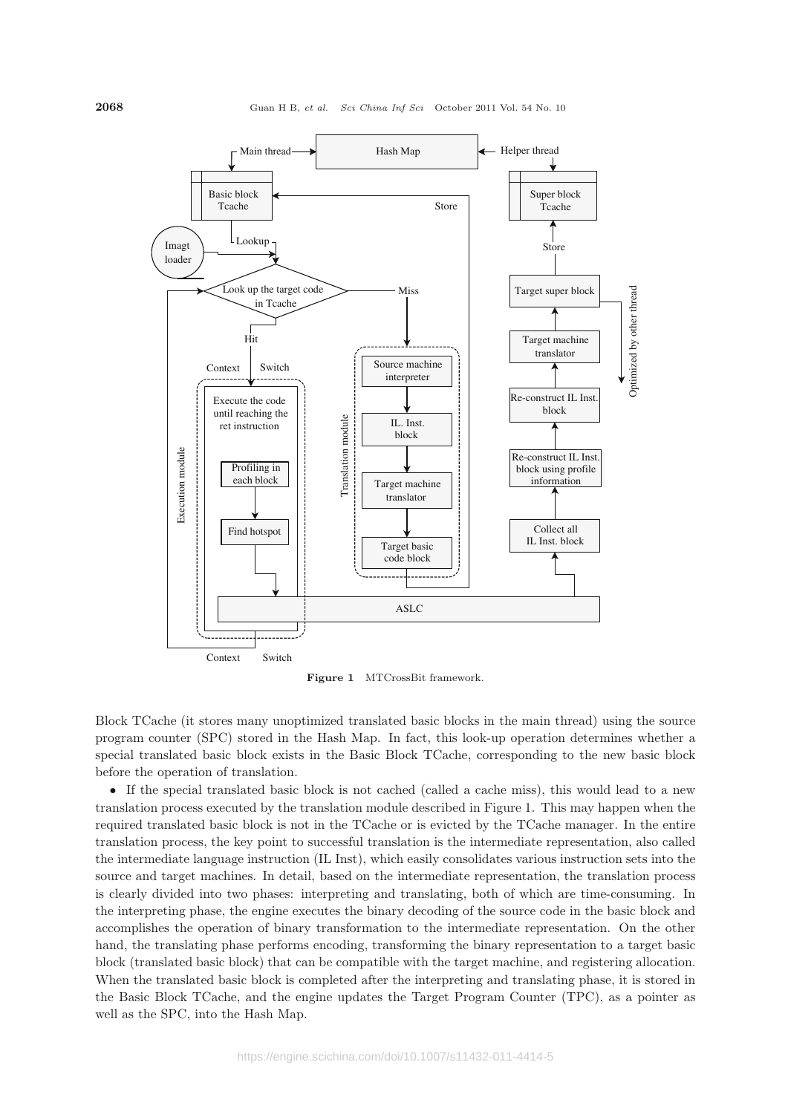

**Figure 1** MTCrossBit framework.

Block TCache (it stores many unoptimized translated basic blocks in the main thread) using the source program counter (SPC) stored in the Hash Map. In fact, this look-up operation determines whether a special translated basic block exists in the Basic Block TCache, corresponding to the new basic block before the operation of translation.

• If the special translated basic block is not cached (called a cache miss), this would lead to a new translation process executed by the translation module described in Figure 1. This may happen when the required translated basic block is not in the TCache or is evicted by the TCache manager. In the entire translation process, the key point to successful translation is the intermediate representation, also called the intermediate language instruction (IL Inst), which easily consolidates various instruction sets into the source and target machines. In detail, based on the intermediate representation, the translation process is clearly divided into two phases: interpreting and translating, both of which are time-consuming. In the interpreting phase, the engine executes the binary decoding of the source code in the basic block and accomplishes the operation of binary transformation to the intermediate representation. On the other hand, the translating phase performs encoding, transforming the binary representation to a target basic block (translated basic block) that can be compatible with the target machine, and registering allocation. When the translated basic block is completed after the interpreting and translating phase, it is stored in the Basic Block TCache, and the engine updates the Target Program Counter (TPC), as a pointer as well as the SPC, into the Hash Map.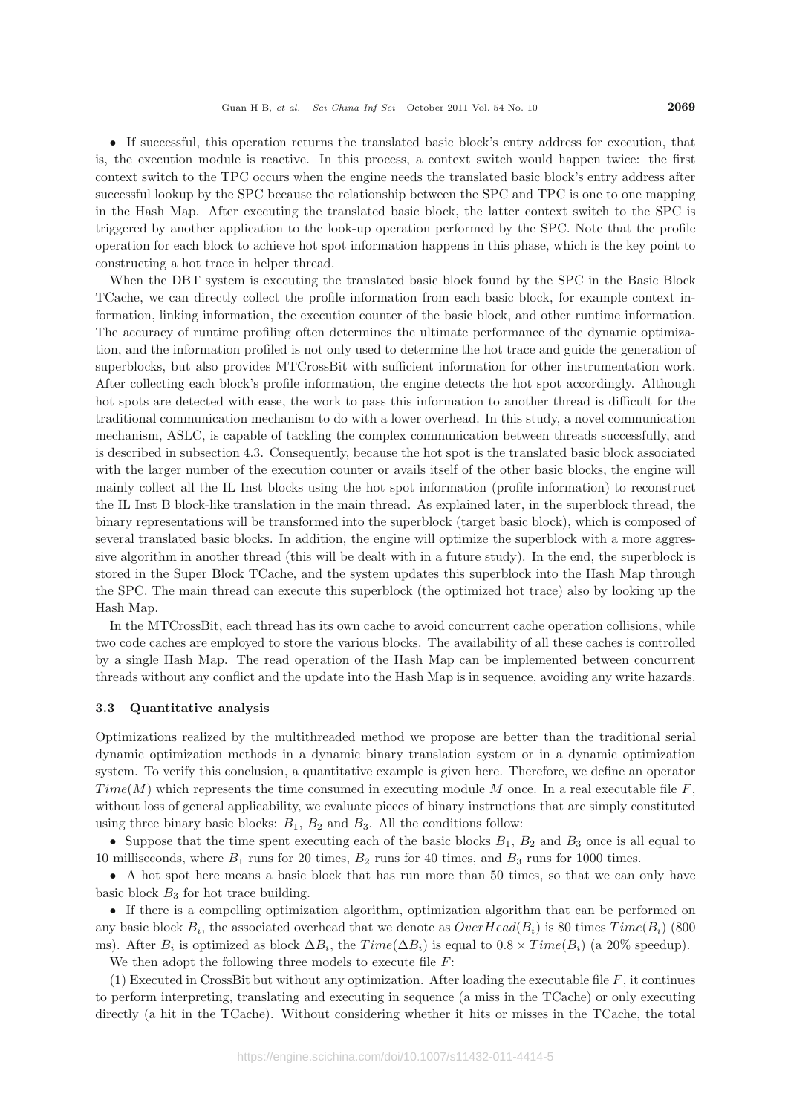• If successful, this operation returns the translated basic block's entry address for execution, that is, the execution module is reactive. In this process, a context switch would happen twice: the first context switch to the TPC occurs when the engine needs the translated basic block's entry address after successful lookup by the SPC because the relationship between the SPC and TPC is one to one mapping in the Hash Map. After executing the translated basic block, the latter context switch to the SPC is triggered by another application to the look-up operation performed by the SPC. Note that the profile operation for each block to achieve hot spot information happens in this phase, which is the key point to constructing a hot trace in helper thread.

When the DBT system is executing the translated basic block found by the SPC in the Basic Block TCache, we can directly collect the profile information from each basic block, for example context information, linking information, the execution counter of the basic block, and other runtime information. The accuracy of runtime profiling often determines the ultimate performance of the dynamic optimization, and the information profiled is not only used to determine the hot trace and guide the generation of superblocks, but also provides MTCrossBit with sufficient information for other instrumentation work. After collecting each block's profile information, the engine detects the hot spot accordingly. Although hot spots are detected with ease, the work to pass this information to another thread is difficult for the traditional communication mechanism to do with a lower overhead. In this study, a novel communication mechanism, ASLC, is capable of tackling the complex communication between threads successfully, and is described in subsection 4.3. Consequently, because the hot spot is the translated basic block associated with the larger number of the execution counter or avails itself of the other basic blocks, the engine will mainly collect all the IL Inst blocks using the hot spot information (profile information) to reconstruct the IL Inst B block-like translation in the main thread. As explained later, in the superblock thread, the binary representations will be transformed into the superblock (target basic block), which is composed of several translated basic blocks. In addition, the engine will optimize the superblock with a more aggressive algorithm in another thread (this will be dealt with in a future study). In the end, the superblock is stored in the Super Block TCache, and the system updates this superblock into the Hash Map through the SPC. The main thread can execute this superblock (the optimized hot trace) also by looking up the Hash Map.

In the MTCrossBit, each thread has its own cache to avoid concurrent cache operation collisions, while two code caches are employed to store the various blocks. The availability of all these caches is controlled by a single Hash Map. The read operation of the Hash Map can be implemented between concurrent threads without any conflict and the update into the Hash Map is in sequence, avoiding any write hazards.

#### **3.3 Quantitative analysis**

Optimizations realized by the multithreaded method we propose are better than the traditional serial dynamic optimization methods in a dynamic binary translation system or in a dynamic optimization system. To verify this conclusion, a quantitative example is given here. Therefore, we define an operator *T ime*(*M*) which represents the time consumed in executing module *M* once. In a real executable file *F*, without loss of general applicability, we evaluate pieces of binary instructions that are simply constituted using three binary basic blocks:  $B_1$ ,  $B_2$  and  $B_3$ . All the conditions follow:

• Suppose that the time spent executing each of the basic blocks  $B_1$ ,  $B_2$  and  $B_3$  once is all equal to 10 milliseconds, where *B*<sup>1</sup> runs for 20 times, *B*<sup>2</sup> runs for 40 times, and *B*<sup>3</sup> runs for 1000 times.

• A hot spot here means a basic block that has run more than 50 times, so that we can only have basic block  $B_3$  for hot trace building.

• If there is a compelling optimization algorithm, optimization algorithm that can be performed on any basic block  $B_i$ , the associated overhead that we denote as  $OverHead(B_i)$  is 80 times  $Time(B_i)$  (800 ms). After  $B_i$  is optimized as block  $\Delta B_i$ , the  $Time(\Delta B_i)$  is equal to  $0.8 \times Time(B_i)$  (a 20% speedup).

We then adopt the following three models to execute file *F*:

(1) Executed in CrossBit but without any optimization. After loading the executable file *F*, it continues to perform interpreting, translating and executing in sequence (a miss in the TCache) or only executing directly (a hit in the TCache). Without considering whether it hits or misses in the TCache, the total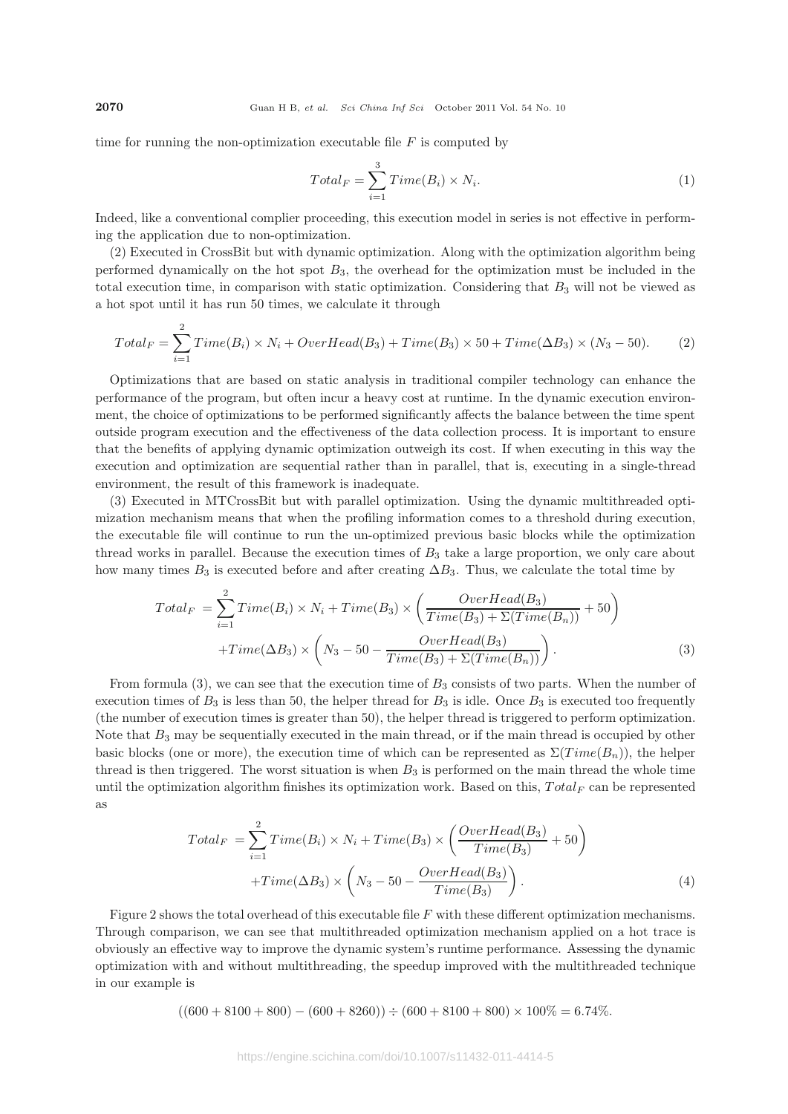time for running the non-optimization executable file *F* is computed by

$$
Total_F = \sum_{i=1}^{3} Time(B_i) \times N_i.
$$
 (1)

Indeed, like a conventional complier proceeding, this execution model in series is not effective in performing the application due to non-optimization.

(2) Executed in CrossBit but with dynamic optimization. Along with the optimization algorithm being performed dynamically on the hot spot *B*3, the overhead for the optimization must be included in the total execution time, in comparison with static optimization. Considering that *B*<sup>3</sup> will not be viewed as a hot spot until it has run 50 times, we calculate it through

$$
Total_F = \sum_{i=1}^{2} Time(B_i) \times N_i + OverHead(B_3) + Time(B_3) \times 50 + Time(\Delta B_3) \times (N_3 - 50). \tag{2}
$$

Optimizations that are based on static analysis in traditional compiler technology can enhance the performance of the program, but often incur a heavy cost at runtime. In the dynamic execution environment, the choice of optimizations to be performed significantly affects the balance between the time spent outside program execution and the effectiveness of the data collection process. It is important to ensure that the benefits of applying dynamic optimization outweigh its cost. If when executing in this way the execution and optimization are sequential rather than in parallel, that is, executing in a single-thread environment, the result of this framework is inadequate.

(3) Executed in MTCrossBit but with parallel optimization. Using the dynamic multithreaded optimization mechanism means that when the profiling information comes to a threshold during execution, the executable file will continue to run the un-optimized previous basic blocks while the optimization thread works in parallel. Because the execution times of *B*<sup>3</sup> take a large proportion, we only care about how many times  $B_3$  is executed before and after creating  $\Delta B_3$ . Thus, we calculate the total time by

$$
Total_F = \sum_{i=1}^{2} Time(B_i) \times N_i + Time(B_3) \times \left(\frac{OverHead(B_3)}{Time(B_3) + \Sigma(Time(B_n))} + 50\right) + Time(\Delta B_3) \times \left(N_3 - 50 - \frac{OverHead(B_3)}{Time(B_3) + \Sigma(Time(B_n))}\right).
$$
(3)

From formula (3), we can see that the execution time of *B*<sup>3</sup> consists of two parts. When the number of execution times of  $B_3$  is less than 50, the helper thread for  $B_3$  is idle. Once  $B_3$  is executed too frequently (the number of execution times is greater than 50), the helper thread is triggered to perform optimization. Note that  $B_3$  may be sequentially executed in the main thread, or if the main thread is occupied by other basic blocks (one or more), the execution time of which can be represented as  $\Sigma(Time(B_n))$ , the helper thread is then triggered. The worst situation is when *B*<sup>3</sup> is performed on the main thread the whole time until the optimization algorithm finishes its optimization work. Based on this, *T otal<sup>F</sup>* can be represented as

$$
Total_F = \sum_{i=1}^{2} Time(B_i) \times N_i + Time(B_3) \times \left(\frac{OverHead(B_3)}{Time(B_3)} + 50\right)
$$

$$
+ Time(\Delta B_3) \times \left(N_3 - 50 - \frac{OverHead(B_3)}{Time(B_3)}\right).
$$
(4)

Figure 2 shows the total overhead of this executable file *F* with these different optimization mechanisms. Through comparison, we can see that multithreaded optimization mechanism applied on a hot trace is obviously an effective way to improve the dynamic system's runtime performance. Assessing the dynamic optimization with and without multithreading, the speedup improved with the multithreaded technique in our example is

 $((600 + 8100 + 800) - (600 + 8260)) \div (600 + 8100 + 800) \times 100\% = 6.74\%$ .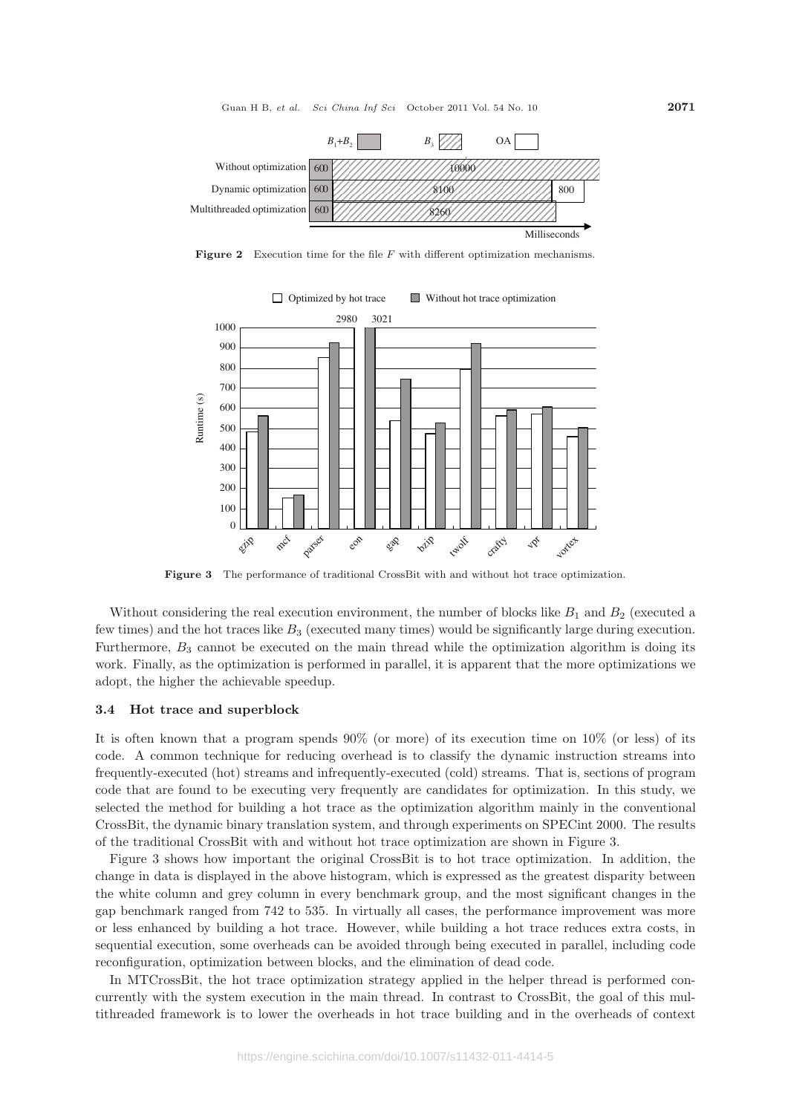

**Figure 2** Execution time for the file *F* with different optimization mechanisms.



**Figure 3** The performance of traditional CrossBit with and without hot trace optimization.

Without considering the real execution environment, the number of blocks like  $B_1$  and  $B_2$  (executed a few times) and the hot traces like *B*<sup>3</sup> (executed many times) would be significantly large during execution. Furthermore,  $B_3$  cannot be executed on the main thread while the optimization algorithm is doing its work. Finally, as the optimization is performed in parallel, it is apparent that the more optimizations we adopt, the higher the achievable speedup.

#### **3.4 Hot trace and superblock**

It is often known that a program spends  $90\%$  (or more) of its execution time on  $10\%$  (or less) of its code. A common technique for reducing overhead is to classify the dynamic instruction streams into frequently-executed (hot) streams and infrequently-executed (cold) streams. That is, sections of program code that are found to be executing very frequently are candidates for optimization. In this study, we selected the method for building a hot trace as the optimization algorithm mainly in the conventional CrossBit, the dynamic binary translation system, and through experiments on SPECint 2000. The results of the traditional CrossBit with and without hot trace optimization are shown in Figure 3.

Figure 3 shows how important the original CrossBit is to hot trace optimization. In addition, the change in data is displayed in the above histogram, which is expressed as the greatest disparity between the white column and grey column in every benchmark group, and the most significant changes in the gap benchmark ranged from 742 to 535. In virtually all cases, the performance improvement was more or less enhanced by building a hot trace. However, while building a hot trace reduces extra costs, in sequential execution, some overheads can be avoided through being executed in parallel, including code reconfiguration, optimization between blocks, and the elimination of dead code.

In MTCrossBit, the hot trace optimization strategy applied in the helper thread is performed concurrently with the system execution in the main thread. In contrast to CrossBit, the goal of this multithreaded framework is to lower the overheads in hot trace building and in the overheads of context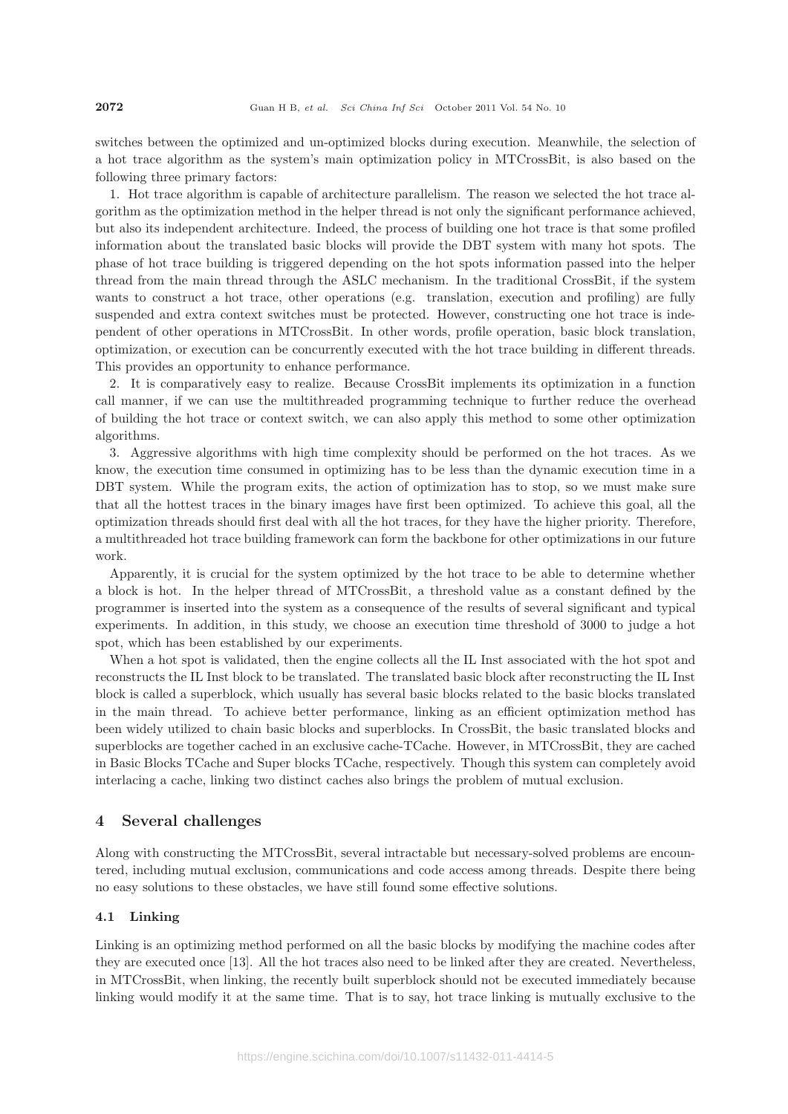switches between the optimized and un-optimized blocks during execution. Meanwhile, the selection of a hot trace algorithm as the system's main optimization policy in MTCrossBit, is also based on the following three primary factors:

1. Hot trace algorithm is capable of architecture parallelism. The reason we selected the hot trace algorithm as the optimization method in the helper thread is not only the significant performance achieved, but also its independent architecture. Indeed, the process of building one hot trace is that some profiled information about the translated basic blocks will provide the DBT system with many hot spots. The phase of hot trace building is triggered depending on the hot spots information passed into the helper thread from the main thread through the ASLC mechanism. In the traditional CrossBit, if the system wants to construct a hot trace, other operations (e.g. translation, execution and profiling) are fully suspended and extra context switches must be protected. However, constructing one hot trace is independent of other operations in MTCrossBit. In other words, profile operation, basic block translation, optimization, or execution can be concurrently executed with the hot trace building in different threads. This provides an opportunity to enhance performance.

2. It is comparatively easy to realize. Because CrossBit implements its optimization in a function call manner, if we can use the multithreaded programming technique to further reduce the overhead of building the hot trace or context switch, we can also apply this method to some other optimization algorithms.

3. Aggressive algorithms with high time complexity should be performed on the hot traces. As we know, the execution time consumed in optimizing has to be less than the dynamic execution time in a DBT system. While the program exits, the action of optimization has to stop, so we must make sure that all the hottest traces in the binary images have first been optimized. To achieve this goal, all the optimization threads should first deal with all the hot traces, for they have the higher priority. Therefore, a multithreaded hot trace building framework can form the backbone for other optimizations in our future work.

Apparently, it is crucial for the system optimized by the hot trace to be able to determine whether a block is hot. In the helper thread of MTCrossBit, a threshold value as a constant defined by the programmer is inserted into the system as a consequence of the results of several significant and typical experiments. In addition, in this study, we choose an execution time threshold of 3000 to judge a hot spot, which has been established by our experiments.

When a hot spot is validated, then the engine collects all the IL Inst associated with the hot spot and reconstructs the IL Inst block to be translated. The translated basic block after reconstructing the IL Inst block is called a superblock, which usually has several basic blocks related to the basic blocks translated in the main thread. To achieve better performance, linking as an efficient optimization method has been widely utilized to chain basic blocks and superblocks. In CrossBit, the basic translated blocks and superblocks are together cached in an exclusive cache-TCache. However, in MTCrossBit, they are cached in Basic Blocks TCache and Super blocks TCache, respectively. Though this system can completely avoid interlacing a cache, linking two distinct caches also brings the problem of mutual exclusion.

# **4 Several challenges**

Along with constructing the MTCrossBit, several intractable but necessary-solved problems are encountered, including mutual exclusion, communications and code access among threads. Despite there being no easy solutions to these obstacles, we have still found some effective solutions.

# **4.1 Linking**

Linking is an optimizing method performed on all the basic blocks by modifying the machine codes after they are executed once [13]. All the hot traces also need to be linked after they are created. Nevertheless, in MTCrossBit, when linking, the recently built superblock should not be executed immediately because linking would modify it at the same time. That is to say, hot trace linking is mutually exclusive to the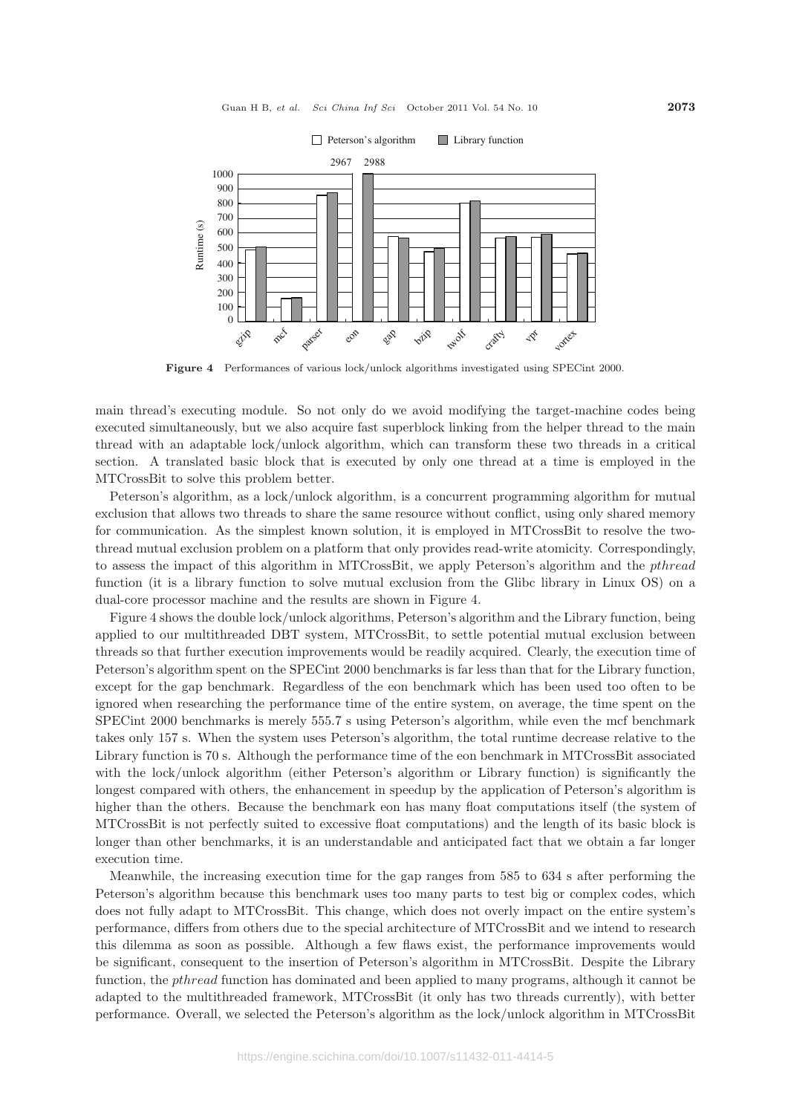

**Figure 4** Performances of various lock/unlock algorithms investigated using SPECint 2000.

main thread's executing module. So not only do we avoid modifying the target-machine codes being executed simultaneously, but we also acquire fast superblock linking from the helper thread to the main thread with an adaptable lock/unlock algorithm, which can transform these two threads in a critical section. A translated basic block that is executed by only one thread at a time is employed in the MTCrossBit to solve this problem better.

Peterson's algorithm, as a lock/unlock algorithm, is a concurrent programming algorithm for mutual exclusion that allows two threads to share the same resource without conflict, using only shared memory for communication. As the simplest known solution, it is employed in MTCrossBit to resolve the twothread mutual exclusion problem on a platform that only provides read-write atomicity. Correspondingly, to assess the impact of this algorithm in MTCrossBit, we apply Peterson's algorithm and the *pthread* function (it is a library function to solve mutual exclusion from the Glibc library in Linux OS) on a dual-core processor machine and the results are shown in Figure 4.

Figure 4 shows the double lock/unlock algorithms, Peterson's algorithm and the Library function, being applied to our multithreaded DBT system, MTCrossBit, to settle potential mutual exclusion between threads so that further execution improvements would be readily acquired. Clearly, the execution time of Peterson's algorithm spent on the SPECint 2000 benchmarks is far less than that for the Library function, except for the gap benchmark. Regardless of the eon benchmark which has been used too often to be ignored when researching the performance time of the entire system, on average, the time spent on the SPECint 2000 benchmarks is merely 555.7 s using Peterson's algorithm, while even the mcf benchmark takes only 157 s. When the system uses Peterson's algorithm, the total runtime decrease relative to the Library function is 70 s. Although the performance time of the eon benchmark in MTCrossBit associated with the lock/unlock algorithm (either Peterson's algorithm or Library function) is significantly the longest compared with others, the enhancement in speedup by the application of Peterson's algorithm is higher than the others. Because the benchmark eon has many float computations itself (the system of MTCrossBit is not perfectly suited to excessive float computations) and the length of its basic block is longer than other benchmarks, it is an understandable and anticipated fact that we obtain a far longer execution time.

Meanwhile, the increasing execution time for the gap ranges from 585 to 634 s after performing the Peterson's algorithm because this benchmark uses too many parts to test big or complex codes, which does not fully adapt to MTCrossBit. This change, which does not overly impact on the entire system's performance, differs from others due to the special architecture of MTCrossBit and we intend to research this dilemma as soon as possible. Although a few flaws exist, the performance improvements would be significant, consequent to the insertion of Peterson's algorithm in MTCrossBit. Despite the Library function, the *pthread* function has dominated and been applied to many programs, although it cannot be adapted to the multithreaded framework, MTCrossBit (it only has two threads currently), with better performance. Overall, we selected the Peterson's algorithm as the lock/unlock algorithm in MTCrossBit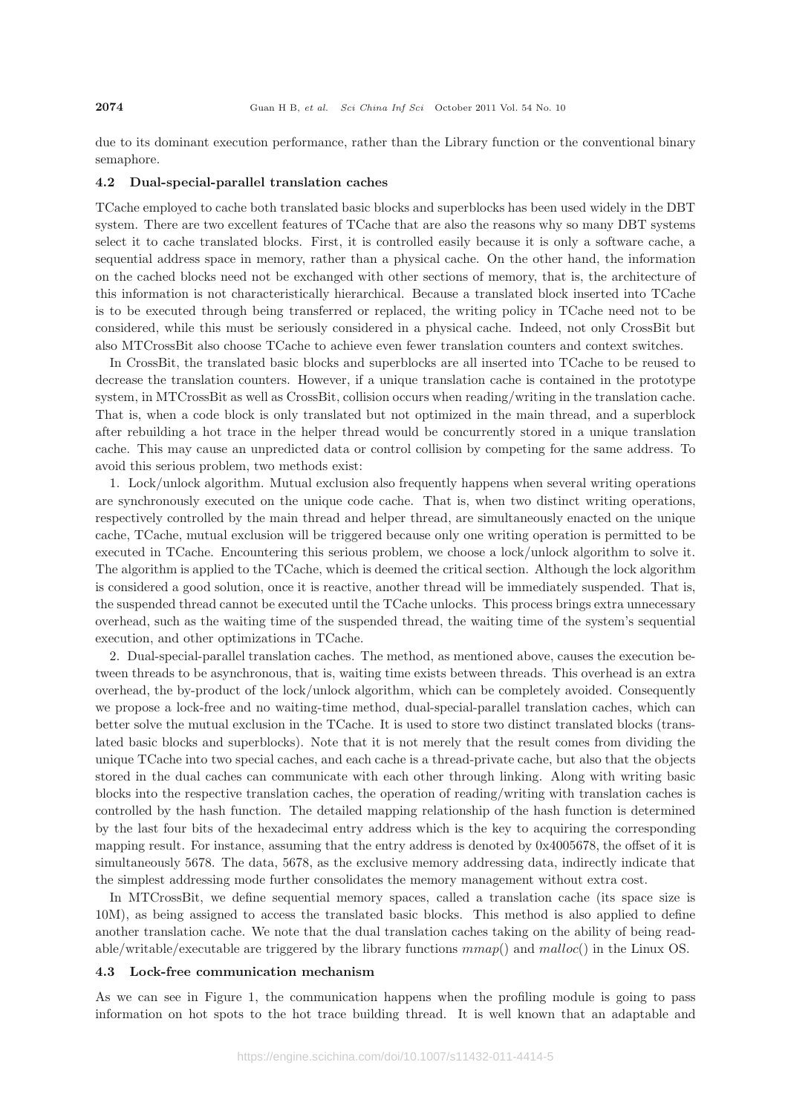due to its dominant execution performance, rather than the Library function or the conventional binary semaphore.

#### **4.2 Dual-special-parallel translation caches**

TCache employed to cache both translated basic blocks and superblocks has been used widely in the DBT system. There are two excellent features of TCache that are also the reasons why so many DBT systems select it to cache translated blocks. First, it is controlled easily because it is only a software cache, a sequential address space in memory, rather than a physical cache. On the other hand, the information on the cached blocks need not be exchanged with other sections of memory, that is, the architecture of this information is not characteristically hierarchical. Because a translated block inserted into TCache is to be executed through being transferred or replaced, the writing policy in TCache need not to be considered, while this must be seriously considered in a physical cache. Indeed, not only CrossBit but also MTCrossBit also choose TCache to achieve even fewer translation counters and context switches.

In CrossBit, the translated basic blocks and superblocks are all inserted into TCache to be reused to decrease the translation counters. However, if a unique translation cache is contained in the prototype system, in MTCrossBit as well as CrossBit, collision occurs when reading/writing in the translation cache. That is, when a code block is only translated but not optimized in the main thread, and a superblock after rebuilding a hot trace in the helper thread would be concurrently stored in a unique translation cache. This may cause an unpredicted data or control collision by competing for the same address. To avoid this serious problem, two methods exist:

1. Lock/unlock algorithm. Mutual exclusion also frequently happens when several writing operations are synchronously executed on the unique code cache. That is, when two distinct writing operations, respectively controlled by the main thread and helper thread, are simultaneously enacted on the unique cache, TCache, mutual exclusion will be triggered because only one writing operation is permitted to be executed in TCache. Encountering this serious problem, we choose a lock/unlock algorithm to solve it. The algorithm is applied to the TCache, which is deemed the critical section. Although the lock algorithm is considered a good solution, once it is reactive, another thread will be immediately suspended. That is, the suspended thread cannot be executed until the TCache unlocks. This process brings extra unnecessary overhead, such as the waiting time of the suspended thread, the waiting time of the system's sequential execution, and other optimizations in TCache.

2. Dual-special-parallel translation caches. The method, as mentioned above, causes the execution between threads to be asynchronous, that is, waiting time exists between threads. This overhead is an extra overhead, the by-product of the lock/unlock algorithm, which can be completely avoided. Consequently we propose a lock-free and no waiting-time method, dual-special-parallel translation caches, which can better solve the mutual exclusion in the TCache. It is used to store two distinct translated blocks (translated basic blocks and superblocks). Note that it is not merely that the result comes from dividing the unique TCache into two special caches, and each cache is a thread-private cache, but also that the objects stored in the dual caches can communicate with each other through linking. Along with writing basic blocks into the respective translation caches, the operation of reading/writing with translation caches is controlled by the hash function. The detailed mapping relationship of the hash function is determined by the last four bits of the hexadecimal entry address which is the key to acquiring the corresponding mapping result. For instance, assuming that the entry address is denoted by 0x4005678, the offset of it is simultaneously 5678. The data, 5678, as the exclusive memory addressing data, indirectly indicate that the simplest addressing mode further consolidates the memory management without extra cost.

In MTCrossBit, we define sequential memory spaces, called a translation cache (its space size is 10M), as being assigned to access the translated basic blocks. This method is also applied to define another translation cache. We note that the dual translation caches taking on the ability of being readable/writable/executable are triggered by the library functions *mmap*() and *malloc*() in the Linux OS.

#### **4.3 Lock-free communication mechanism**

As we can see in Figure 1, the communication happens when the profiling module is going to pass information on hot spots to the hot trace building thread. It is well known that an adaptable and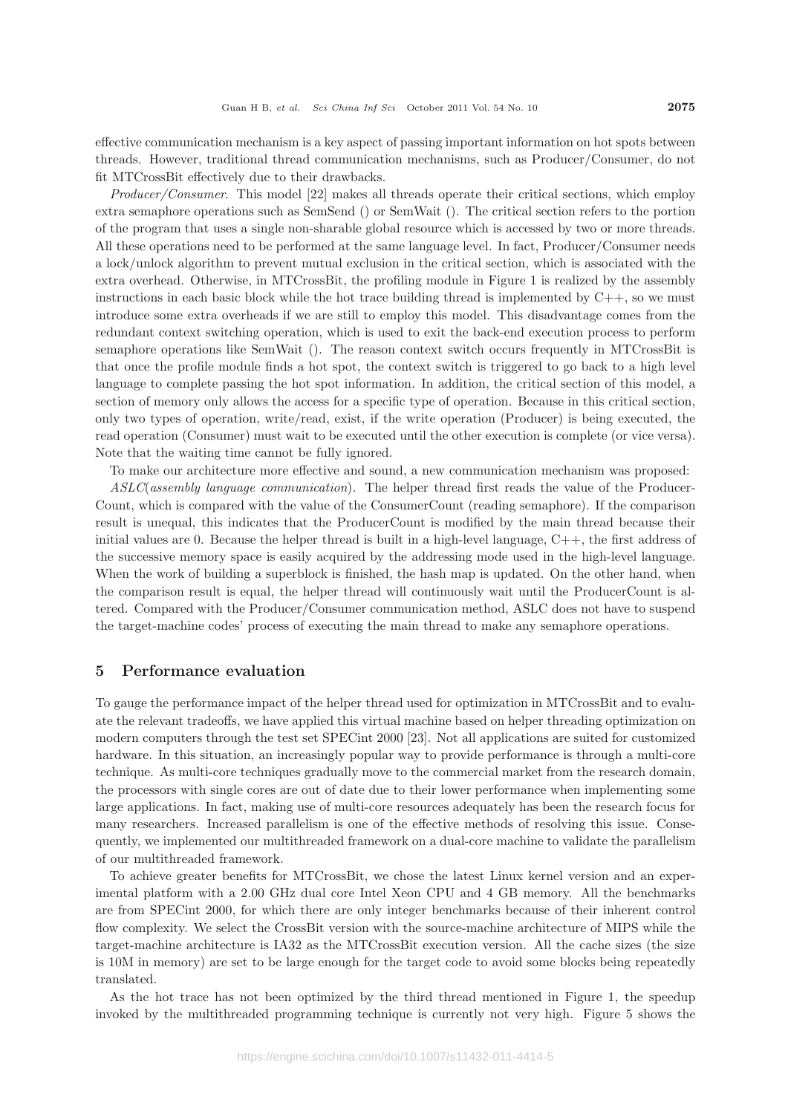effective communication mechanism is a key aspect of passing important information on hot spots between threads. However, traditional thread communication mechanisms, such as Producer/Consumer, do not fit MTCrossBit effectively due to their drawbacks.

*Producer/Consumer*. This model [22] makes all threads operate their critical sections, which employ extra semaphore operations such as SemSend () or SemWait (). The critical section refers to the portion of the program that uses a single non-sharable global resource which is accessed by two or more threads. All these operations need to be performed at the same language level. In fact, Producer/Consumer needs a lock/unlock algorithm to prevent mutual exclusion in the critical section, which is associated with the extra overhead. Otherwise, in MTCrossBit, the profiling module in Figure 1 is realized by the assembly instructions in each basic block while the hot trace building thread is implemented by  $C_{++}$ , so we must introduce some extra overheads if we are still to employ this model. This disadvantage comes from the redundant context switching operation, which is used to exit the back-end execution process to perform semaphore operations like SemWait (). The reason context switch occurs frequently in MTCrossBit is that once the profile module finds a hot spot, the context switch is triggered to go back to a high level language to complete passing the hot spot information. In addition, the critical section of this model, a section of memory only allows the access for a specific type of operation. Because in this critical section, only two types of operation, write/read, exist, if the write operation (Producer) is being executed, the read operation (Consumer) must wait to be executed until the other execution is complete (or vice versa). Note that the waiting time cannot be fully ignored.

To make our architecture more effective and sound, a new communication mechanism was proposed:

*ASLC*(*assembly language communication*). The helper thread first reads the value of the Producer-Count, which is compared with the value of the ConsumerCount (reading semaphore). If the comparison result is unequal, this indicates that the ProducerCount is modified by the main thread because their initial values are 0. Because the helper thread is built in a high-level language, C++, the first address of the successive memory space is easily acquired by the addressing mode used in the high-level language. When the work of building a superblock is finished, the hash map is updated. On the other hand, when the comparison result is equal, the helper thread will continuously wait until the ProducerCount is altered. Compared with the Producer/Consumer communication method, ASLC does not have to suspend the target-machine codes' process of executing the main thread to make any semaphore operations.

# **5 Performance evaluation**

To gauge the performance impact of the helper thread used for optimization in MTCrossBit and to evaluate the relevant tradeoffs, we have applied this virtual machine based on helper threading optimization on modern computers through the test set SPECint 2000 [23]. Not all applications are suited for customized hardware. In this situation, an increasingly popular way to provide performance is through a multi-core technique. As multi-core techniques gradually move to the commercial market from the research domain, the processors with single cores are out of date due to their lower performance when implementing some large applications. In fact, making use of multi-core resources adequately has been the research focus for many researchers. Increased parallelism is one of the effective methods of resolving this issue. Consequently, we implemented our multithreaded framework on a dual-core machine to validate the parallelism of our multithreaded framework.

To achieve greater benefits for MTCrossBit, we chose the latest Linux kernel version and an experimental platform with a 2.00 GHz dual core Intel Xeon CPU and 4 GB memory. All the benchmarks are from SPECint 2000, for which there are only integer benchmarks because of their inherent control flow complexity. We select the CrossBit version with the source-machine architecture of MIPS while the target-machine architecture is IA32 as the MTCrossBit execution version. All the cache sizes (the size is 10M in memory) are set to be large enough for the target code to avoid some blocks being repeatedly translated.

As the hot trace has not been optimized by the third thread mentioned in Figure 1, the speedup invoked by the multithreaded programming technique is currently not very high. Figure 5 shows the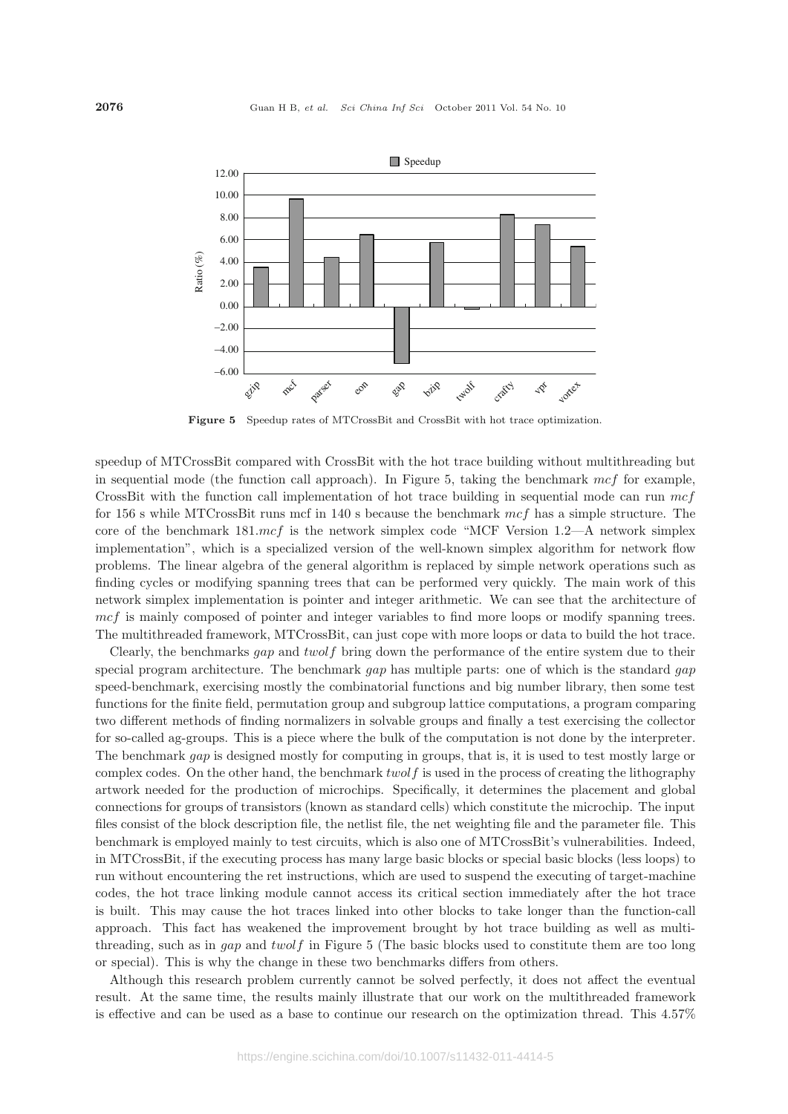

**Figure 5** Speedup rates of MTCrossBit and CrossBit with hot trace optimization.

speedup of MTCrossBit compared with CrossBit with the hot trace building without multithreading but in sequential mode (the function call approach). In Figure 5, taking the benchmark *mcf* for example, CrossBit with the function call implementation of hot trace building in sequential mode can run *mcf* for 156 s while MTCrossBit runs mcf in 140 s because the benchmark *mcf* has a simple structure. The core of the benchmark 181.*mcf* is the network simplex code "MCF Version 1.2—A network simplex implementation", which is a specialized version of the well-known simplex algorithm for network flow problems. The linear algebra of the general algorithm is replaced by simple network operations such as finding cycles or modifying spanning trees that can be performed very quickly. The main work of this network simplex implementation is pointer and integer arithmetic. We can see that the architecture of *mcf* is mainly composed of pointer and integer variables to find more loops or modify spanning trees. The multithreaded framework, MTCrossBit, can just cope with more loops or data to build the hot trace.

Clearly, the benchmarks *gap* and *twolf* bring down the performance of the entire system due to their special program architecture. The benchmark *gap* has multiple parts: one of which is the standard *gap* speed-benchmark, exercising mostly the combinatorial functions and big number library, then some test functions for the finite field, permutation group and subgroup lattice computations, a program comparing two different methods of finding normalizers in solvable groups and finally a test exercising the collector for so-called ag-groups. This is a piece where the bulk of the computation is not done by the interpreter. The benchmark *gap* is designed mostly for computing in groups, that is, it is used to test mostly large or complex codes. On the other hand, the benchmark *twolf* is used in the process of creating the lithography artwork needed for the production of microchips. Specifically, it determines the placement and global connections for groups of transistors (known as standard cells) which constitute the microchip. The input files consist of the block description file, the netlist file, the net weighting file and the parameter file. This benchmark is employed mainly to test circuits, which is also one of MTCrossBit's vulnerabilities. Indeed, in MTCrossBit, if the executing process has many large basic blocks or special basic blocks (less loops) to run without encountering the ret instructions, which are used to suspend the executing of target-machine codes, the hot trace linking module cannot access its critical section immediately after the hot trace is built. This may cause the hot traces linked into other blocks to take longer than the function-call approach. This fact has weakened the improvement brought by hot trace building as well as multithreading, such as in *gap* and *twolf* in Figure 5 (The basic blocks used to constitute them are too long or special). This is why the change in these two benchmarks differs from others.

Although this research problem currently cannot be solved perfectly, it does not affect the eventual result. At the same time, the results mainly illustrate that our work on the multithreaded framework is effective and can be used as a base to continue our research on the optimization thread. This 4.57%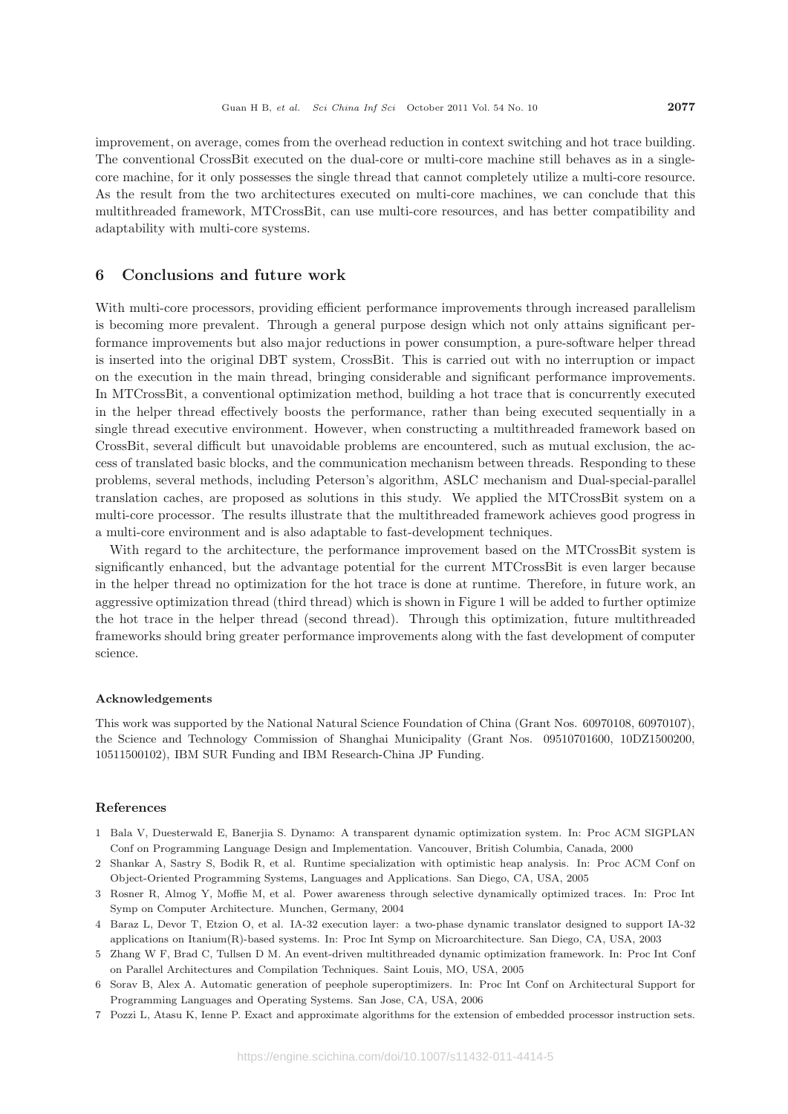improvement, on average, comes from the overhead reduction in context switching and hot trace building. The conventional CrossBit executed on the dual-core or multi-core machine still behaves as in a singlecore machine, for it only possesses the single thread that cannot completely utilize a multi-core resource. As the result from the two architectures executed on multi-core machines, we can conclude that this multithreaded framework, MTCrossBit, can use multi-core resources, and has better compatibility and adaptability with multi-core systems.

# **6 Conclusions and future work**

With multi-core processors, providing efficient performance improvements through increased parallelism is becoming more prevalent. Through a general purpose design which not only attains significant performance improvements but also major reductions in power consumption, a pure-software helper thread is inserted into the original DBT system, CrossBit. This is carried out with no interruption or impact on the execution in the main thread, bringing considerable and significant performance improvements. In MTCrossBit, a conventional optimization method, building a hot trace that is concurrently executed in the helper thread effectively boosts the performance, rather than being executed sequentially in a single thread executive environment. However, when constructing a multithreaded framework based on CrossBit, several difficult but unavoidable problems are encountered, such as mutual exclusion, the access of translated basic blocks, and the communication mechanism between threads. Responding to these problems, several methods, including Peterson's algorithm, ASLC mechanism and Dual-special-parallel translation caches, are proposed as solutions in this study. We applied the MTCrossBit system on a multi-core processor. The results illustrate that the multithreaded framework achieves good progress in a multi-core environment and is also adaptable to fast-development techniques.

With regard to the architecture, the performance improvement based on the MTCrossBit system is significantly enhanced, but the advantage potential for the current MTCrossBit is even larger because in the helper thread no optimization for the hot trace is done at runtime. Therefore, in future work, an aggressive optimization thread (third thread) which is shown in Figure 1 will be added to further optimize the hot trace in the helper thread (second thread). Through this optimization, future multithreaded frameworks should bring greater performance improvements along with the fast development of computer science.

#### **Acknowledgements**

This work was supported by the National Natural Science Foundation of China (Grant Nos. 60970108, 60970107), the Science and Technology Commission of Shanghai Municipality (Grant Nos. 09510701600, 10DZ1500200, 10511500102), IBM SUR Funding and IBM Research-China JP Funding.

#### **References**

- 1 Bala V, Duesterwald E, Banerjia S. Dynamo: A transparent dynamic optimization system. In: Proc ACM SIGPLAN Conf on Programming Language Design and Implementation. Vancouver, British Columbia, Canada, 2000
- 2 Shankar A, Sastry S, Bodik R, et al. Runtime specialization with optimistic heap analysis. In: Proc ACM Conf on Object-Oriented Programming Systems, Languages and Applications. San Diego, CA, USA, 2005
- 3 Rosner R, Almog Y, Moffie M, et al. Power awareness through selective dynamically optimized traces. In: Proc Int Symp on Computer Architecture. Munchen, Germany, 2004
- 4 Baraz L, Devor T, Etzion O, et al. IA-32 execution layer: a two-phase dynamic translator designed to support IA-32 applications on Itanium(R)-based systems. In: Proc Int Symp on Microarchitecture. San Diego, CA, USA, 2003
- 5 Zhang W F, Brad C, Tullsen D M. An event-driven multithreaded dynamic optimization framework. In: Proc Int Conf on Parallel Architectures and Compilation Techniques. Saint Louis, MO, USA, 2005
- 6 Sorav B, Alex A. Automatic generation of peephole superoptimizers. In: Proc Int Conf on Architectural Support for Programming Languages and Operating Systems. San Jose, CA, USA, 2006
- 7 Pozzi L, Atasu K, Ienne P. Exact and approximate algorithms for the extension of embedded processor instruction sets.